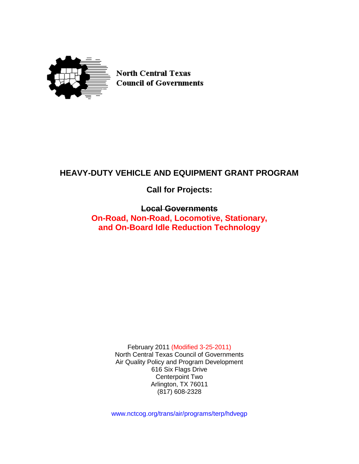

**North Central Texas Council of Governments** 

# **HEAVY-DUTY VEHICLE AND EQUIPMENT GRANT PROGRAM**

**Call for Projects:**

# **Local Governments**

**On-Road, Non-Road, Locomotive, Stationary, and On-Board Idle Reduction Technology**

> February 2011 (Modified 3-25-2011) North Central Texas Council of Governments Air Quality Policy and Program Development 616 Six Flags Drive Centerpoint Two Arlington, TX 76011 (817) 608-2328

www.nctcog.org/trans/air/programs/terp/hdvegp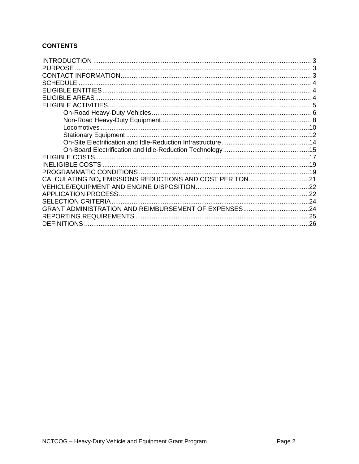# **CONTENTS**

| <b>INTRODUCTION</b>                                                 |  |
|---------------------------------------------------------------------|--|
| <b>PURPOSE</b>                                                      |  |
|                                                                     |  |
| <b>SCHEDULE</b>                                                     |  |
|                                                                     |  |
| <b>ELIGIBLE AREAS</b>                                               |  |
|                                                                     |  |
|                                                                     |  |
|                                                                     |  |
|                                                                     |  |
|                                                                     |  |
|                                                                     |  |
|                                                                     |  |
|                                                                     |  |
|                                                                     |  |
|                                                                     |  |
| CALCULATING NO <sub>v</sub> EMISSIONS REDUCTIONS AND COST PER TON21 |  |
|                                                                     |  |
| <b>APPLICATION PROCESS.</b>                                         |  |
| <b>SELECTION CRITERIA</b>                                           |  |
| GRANT ADMINISTRATION AND REIMBURSEMENT OF EXPENSES24                |  |
|                                                                     |  |
| <b>DEFINITIONS</b>                                                  |  |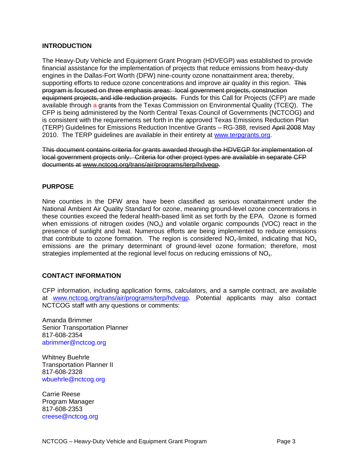## <span id="page-2-0"></span>**INTRODUCTION**

The Heavy-Duty Vehicle and Equipment Grant Program (HDVEGP) was established to provide financial assistance for the implementation of projects that reduce emissions from heavy-duty engines in the Dallas-Fort Worth (DFW) nine-county ozone nonattainment area; thereby, supporting efforts to reduce ozone concentrations and improve air quality in this region. This program is focused on three emphasis areas: local government projects, construction equipment projects, and idle reduction projects. Funds for this Call for Projects (CFP) are made available through a grants from the Texas Commission on Environmental Quality (TCEQ). The CFP is being administered by the North Central Texas Council of Governments (NCTCOG) and is consistent with the requirements set forth in the approved Texas Emissions Reduction Plan (TERP) Guidelines for Emissions Reduction Incentive Grants – RG-388, revised April 2008 May 2010. The TERP guidelines are available in their entirety at [www.terpgrants.org.](http://www.terpgrants.org/)

This document contains criteria for grants awarded through the HDVEGP for implementation of local government projects only. Criteria for other project types are available in separate CFP documents at [www.nctcog.org/trans/air/programs/terp/hdvegp.](http://www.nctcog.org/trans/air/programs/terp/hdvegp)

## <span id="page-2-1"></span>**PURPOSE**

Nine counties in the DFW area have been classified as serious nonattainment under the National Ambient Air Quality Standard for ozone, meaning ground-level ozone concentrations in these counties exceed the federal health-based limit as set forth by the EPA. Ozone is formed when emissions of nitrogen oxides  $(NO<sub>x</sub>)$  and volatile organic compounds  $(VOC)$  react in the presence of sunlight and heat. Numerous efforts are being implemented to reduce emissions that contribute to ozone formation. The region is considered  $NO<sub>x</sub>$ -limited, indicating that  $NO<sub>x</sub>$ emissions are the primary determinant of ground-level ozone formation; therefore, most strategies implemented at the regional level focus on reducing emissions of NO<sub>x</sub>.

## <span id="page-2-2"></span>**CONTACT INFORMATION**

CFP information, including application forms, calculators, and a sample contract, are available at [www.nctcog.org/trans/air/programs/terp/hdvegp.](http://www.nctcog.org/trans/air/programs/terp/hdvegp) Potential applicants may also contact NCTCOG staff with any questions or comments:

Amanda Brimmer Senior Transportation Planner 817-608-2354 [abrimmer@nctcog.org](mailto:abrimmer@nctcog.org)

Whitney Buehrle Transportation Planner II 817-608-2328 [wbuehrle@nctcog.org](mailto:wbuehrle@nctcog.org)

Carrie Reese Program Manager 817-608-2353 [creese@nctcog.org](mailto:creese@nctcog.org)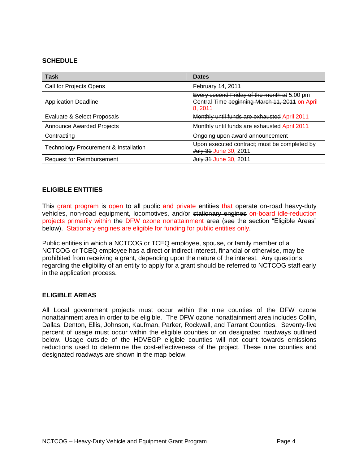## <span id="page-3-0"></span>**SCHEDULE**

| <b>Task</b>                                      | <b>Dates</b>                                                                                             |
|--------------------------------------------------|----------------------------------------------------------------------------------------------------------|
| Call for Projects Opens                          | February 14, 2011                                                                                        |
| <b>Application Deadline</b>                      | Every second Friday of the month at 5:00 pm<br>Central Time beginning March 11, 2011 on April<br>8, 2011 |
| Evaluate & Select Proposals                      | Monthly until funds are exhausted April 2011                                                             |
| <b>Announce Awarded Projects</b>                 | Monthly until funds are exhausted April 2011                                                             |
| Contracting                                      | Ongoing upon award announcement                                                                          |
| <b>Technology Procurement &amp; Installation</b> | Upon executed contract; must be completed by<br>July 31 June 30, 2011                                    |
| <b>Request for Reimbursement</b>                 | July 31 June 30, 2011                                                                                    |

## <span id="page-3-1"></span>**ELIGIBLE ENTITIES**

This grant program is open to all public and private entities that operate on-road heavy-duty vehicles, non-road equipment, locomotives, and/or stationary engines on-board idle-reduction projects primarily within the DFW ozone nonattainment area (see the section "Eligible Areas" below). Stationary engines are eligible for funding for public entities only.

Public entities in which a NCTCOG or TCEQ employee, spouse, or family member of a NCTCOG or TCEQ employee has a direct or indirect interest, financial or otherwise, may be prohibited from receiving a grant, depending upon the nature of the interest. Any questions regarding the eligibility of an entity to apply for a grant should be referred to NCTCOG staff early in the application process.

## <span id="page-3-2"></span>**ELIGIBLE AREAS**

All Local government projects must occur within the nine counties of the DFW ozone nonattainment area in order to be eligible. The DFW ozone nonattainment area includes Collin, Dallas, Denton, Ellis, Johnson, Kaufman, Parker, Rockwall, and Tarrant Counties. Seventy-five percent of usage must occur within the eligible counties or on designated roadways outlined below. Usage outside of the HDVEGP eligible counties will not count towards emissions reductions used to determine the cost-effectiveness of the project. These nine counties and designated roadways are shown in the map below.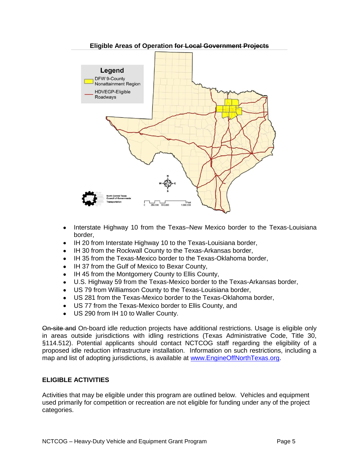

#### **Eligible Areas of Operation for Local Government Projects**

- $\bullet$ Interstate Highway 10 from the Texas–New Mexico border to the Texas-Louisiana border,
- IH 20 from Interstate Highway 10 to the Texas-Louisiana border,
- $\bullet$ IH 30 from the Rockwall County to the Texas-Arkansas border,
- IH 35 from the Texas-Mexico border to the Texas-Oklahoma border,
- IH 37 from the Gulf of Mexico to Bexar County,
- IH 45 from the Montgomery County to Ellis County,
- U.S. Highway 59 from the Texas-Mexico border to the Texas-Arkansas border,  $\bullet$
- US 79 from Williamson County to the Texas-Louisiana border,  $\bullet$
- US 281 from the Texas-Mexico border to the Texas-Oklahoma border,
- US 77 from the Texas-Mexico border to Ellis County, and
- US 290 from IH 10 to Waller County.

On-site and On-board idle reduction projects have additional restrictions. Usage is eligible only in areas outside jurisdictions with idling restrictions (Texas Administrative Code, Title 30, §114.512). Potential applicants should contact NCTCOG staff regarding the eligibility of a proposed idle reduction infrastructure installation. Information on such restrictions, including a map and list of adopting jurisdictions, is available at [www.EngineOffNorthTexas.org.](../Application%20Data/Microsoft/Word/www.EngineOffNorthTexas.org)

## <span id="page-4-0"></span>**ELIGIBLE ACTIVITIES**

Activities that may be eligible under this program are outlined below. Vehicles and equipment used primarily for competition or recreation are not eligible for funding under any of the project categories.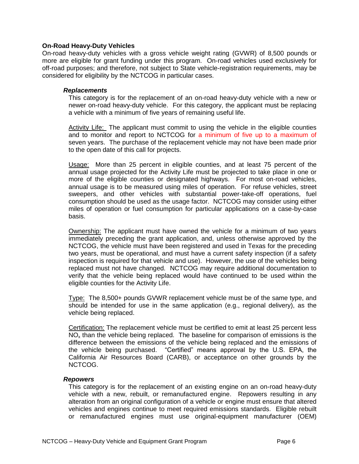### <span id="page-5-0"></span>**On-Road Heavy-Duty Vehicles**

On-road heavy-duty vehicles with a gross vehicle weight rating (GVWR) of 8,500 pounds or more are eligible for grant funding under this program. On-road vehicles used exclusively for off-road purposes; and therefore, not subject to State vehicle-registration requirements, may be considered for eligibility by the NCTCOG in particular cases.

#### *Replacements*

This category is for the replacement of an on-road heavy-duty vehicle with a new or newer on-road heavy-duty vehicle. For this category, the applicant must be replacing a vehicle with a minimum of five years of remaining useful life.

Activity Life: The applicant must commit to using the vehicle in the eligible counties and to monitor and report to NCTCOG for a minimum of five up to a maximum of seven years. The purchase of the replacement vehicle may not have been made prior to the open date of this call for projects.

Usage: More than 25 percent in eligible counties, and at least 75 percent of the annual usage projected for the Activity Life must be projected to take place in one or more of the eligible counties or designated highways. For most on-road vehicles, annual usage is to be measured using miles of operation. For refuse vehicles, street sweepers, and other vehicles with substantial power-take-off operations, fuel consumption should be used as the usage factor. NCTCOG may consider using either miles of operation or fuel consumption for particular applications on a case-by-case basis.

Ownership: The applicant must have owned the vehicle for a minimum of two years immediately preceding the grant application, and, unless otherwise approved by the NCTCOG, the vehicle must have been registered and used in Texas for the preceding two years, must be operational, and must have a current safety inspection (if a safety inspection is required for that vehicle and use). However, the use of the vehicles being replaced must not have changed. NCTCOG may require additional documentation to verify that the vehicle being replaced would have continued to be used within the eligible counties for the Activity Life.

Type: The 8,500+ pounds GVWR replacement vehicle must be of the same type, and should be intended for use in the same application (e.g., regional delivery), as the vehicle being replaced.

Certification: The replacement vehicle must be certified to emit at least 25 percent less  $NO<sub>x</sub>$  than the vehicle being replaced. The baseline for comparison of emissions is the difference between the emissions of the vehicle being replaced and the emissions of the vehicle being purchased. "Certified" means approval by the U.S. EPA, the California Air Resources Board (CARB), or acceptance on other grounds by the NCTCOG.

#### *Repowers*

This category is for the replacement of an existing engine on an on-road heavy-duty vehicle with a new, rebuilt, or remanufactured engine. Repowers resulting in any alteration from an original configuration of a vehicle or engine must ensure that altered vehicles and engines continue to meet required emissions standards. Eligible rebuilt or remanufactured engines must use original-equipment manufacturer (OEM)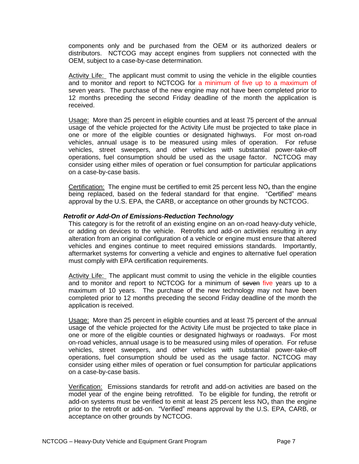components only and be purchased from the OEM or its authorized dealers or distributors. NCTCOG may accept engines from suppliers not connected with the OEM, subject to a case-by-case determination.

Activity Life: The applicant must commit to using the vehicle in the eligible counties and to monitor and report to NCTCOG for a minimum of five up to a maximum of seven years. The purchase of the new engine may not have been completed prior to 12 months preceding the second Friday deadline of the month the application is received.

Usage: More than 25 percent in eligible counties and at least 75 percent of the annual usage of the vehicle projected for the Activity Life must be projected to take place in one or more of the eligible counties or designated highways. For most on-road vehicles, annual usage is to be measured using miles of operation. For refuse vehicles, street sweepers, and other vehicles with substantial power-take-off operations, fuel consumption should be used as the usage factor. NCTCOG may consider using either miles of operation or fuel consumption for particular applications on a case-by-case basis.

Certification: The engine must be certified to emit 25 percent less  $NO<sub>x</sub>$  than the engine being replaced, based on the federal standard for that engine. "Certified" means approval by the U.S. EPA, the CARB, or acceptance on other grounds by NCTCOG.

#### *Retrofit or Add-On of Emissions-Reduction Technology*

This category is for the retrofit of an existing engine on an on-road heavy-duty vehicle, or adding on devices to the vehicle. Retrofits and add-on activities resulting in any alteration from an original configuration of a vehicle or engine must ensure that altered vehicles and engines continue to meet required emissions standards. Importantly, aftermarket systems for converting a vehicle and engines to alternative fuel operation must comply with EPA certification requirements.

Activity Life: The applicant must commit to using the vehicle in the eligible counties and to monitor and report to NCTCOG for a minimum of seven five years up to a maximum of 10 years. The purchase of the new technology may not have been completed prior to 12 months preceding the second Friday deadline of the month the application is received.

Usage: More than 25 percent in eligible counties and at least 75 percent of the annual usage of the vehicle projected for the Activity Life must be projected to take place in one or more of the eligible counties or designated highways or roadways. For most on-road vehicles, annual usage is to be measured using miles of operation. For refuse vehicles, street sweepers, and other vehicles with substantial power-take-off operations, fuel consumption should be used as the usage factor. NCTCOG may consider using either miles of operation or fuel consumption for particular applications on a case-by-case basis.

Verification: Emissions standards for retrofit and add-on activities are based on the model year of the engine being retrofitted. To be eligible for funding, the retrofit or add-on systems must be verified to emit at least 25 percent less  $NO<sub>x</sub>$  than the engine prior to the retrofit or add-on. "Verified" means approval by the U.S. EPA, CARB, or acceptance on other grounds by NCTCOG.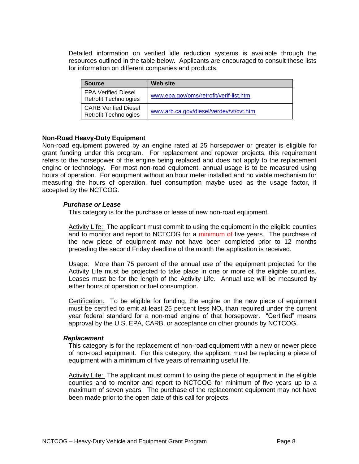Detailed information on verified idle reduction systems is available through the resources outlined in the table below. Applicants are encouraged to consult these lists for information on different companies and products.

| <b>Source</b>                                               | <b>Web site</b>                         |
|-------------------------------------------------------------|-----------------------------------------|
| <b>EPA Verified Diesel</b><br><b>Retrofit Technologies</b>  | www.epa.gov/oms/retrofit/verif-list.htm |
| <b>CARB Verified Diesel</b><br><b>Retrofit Technologies</b> | www.arb.ca.gov/diesel/verdev/vt/cvt.htm |

### <span id="page-7-0"></span>**Non-Road Heavy-Duty Equipment**

Non-road equipment powered by an engine rated at 25 horsepower or greater is eligible for grant funding under this program. For replacement and repower projects, this requirement refers to the horsepower of the engine being replaced and does not apply to the replacement engine or technology. For most non-road equipment, annual usage is to be measured using hours of operation. For equipment without an hour meter installed and no viable mechanism for measuring the hours of operation, fuel consumption maybe used as the usage factor, if accepted by the NCTCOG.

#### *Purchase or Lease*

This category is for the purchase or lease of new non-road equipment.

Activity Life: The applicant must commit to using the equipment in the eligible counties and to monitor and report to NCTCOG for a minimum of five years. The purchase of the new piece of equipment may not have been completed prior to 12 months preceding the second Friday deadline of the month the application is received.

Usage: More than 75 percent of the annual use of the equipment projected for the Activity Life must be projected to take place in one or more of the eligible counties. Leases must be for the length of the Activity Life. Annual use will be measured by either hours of operation or fuel consumption.

Certification: To be eligible for funding, the engine on the new piece of equipment must be certified to emit at least 25 percent less  $NO<sub>x</sub>$  than required under the current year federal standard for a non-road engine of that horsepower. "Certified" means approval by the U.S. EPA, CARB, or acceptance on other grounds by NCTCOG.

#### *Replacement*

This category is for the replacement of non-road equipment with a new or newer piece of non-road equipment. For this category, the applicant must be replacing a piece of equipment with a minimum of five years of remaining useful life.

Activity Life: The applicant must commit to using the piece of equipment in the eligible counties and to monitor and report to NCTCOG for minimum of five years up to a maximum of seven years. The purchase of the replacement equipment may not have been made prior to the open date of this call for projects.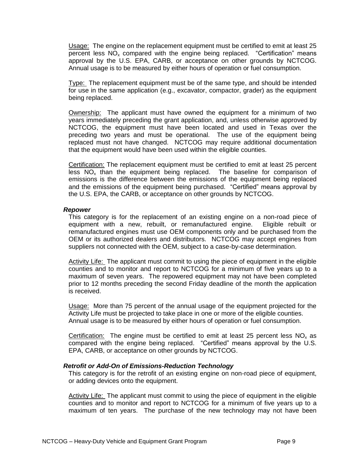Usage: The engine on the replacement equipment must be certified to emit at least 25 percent less  $NO<sub>x</sub>$  compared with the engine being replaced. "Certification" means approval by the U.S. EPA, CARB, or acceptance on other grounds by NCTCOG. Annual usage is to be measured by either hours of operation or fuel consumption.

Type: The replacement equipment must be of the same type, and should be intended for use in the same application (e.g., excavator, compactor, grader) as the equipment being replaced.

Ownership: The applicant must have owned the equipment for a minimum of two years immediately preceding the grant application, and, unless otherwise approved by NCTCOG, the equipment must have been located and used in Texas over the preceding two years and must be operational. The use of the equipment being replaced must not have changed. NCTCOG may require additional documentation that the equipment would have been used within the eligible counties.

Certification: The replacement equipment must be certified to emit at least 25 percent less  $NO<sub>x</sub>$  than the equipment being replaced. The baseline for comparison of emissions is the difference between the emissions of the equipment being replaced and the emissions of the equipment being purchased. "Certified" means approval by the U.S. EPA, the CARB, or acceptance on other grounds by NCTCOG.

#### *Repower*

This category is for the replacement of an existing engine on a non-road piece of equipment with a new, rebuilt, or remanufactured engine. Eligible rebuilt or remanufactured engines must use OEM components only and be purchased from the OEM or its authorized dealers and distributors. NCTCOG may accept engines from suppliers not connected with the OEM, subject to a case-by-case determination.

Activity Life: The applicant must commit to using the piece of equipment in the eligible counties and to monitor and report to NCTCOG for a minimum of five years up to a maximum of seven years. The repowered equipment may not have been completed prior to 12 months preceding the second Friday deadline of the month the application is received.

Usage: More than 75 percent of the annual usage of the equipment projected for the Activity Life must be projected to take place in one or more of the eligible counties. Annual usage is to be measured by either hours of operation or fuel consumption.

Certification: The engine must be certified to emit at least 25 percent less  $NO<sub>x</sub>$  as compared with the engine being replaced. "Certified" means approval by the U.S. EPA, CARB, or acceptance on other grounds by NCTCOG.

#### *Retrofit or Add-On of Emissions-Reduction Technology*

This category is for the retrofit of an existing engine on non-road piece of equipment, or adding devices onto the equipment.

Activity Life: The applicant must commit to using the piece of equipment in the eligible counties and to monitor and report to NCTCOG for a minimum of five years up to a maximum of ten years. The purchase of the new technology may not have been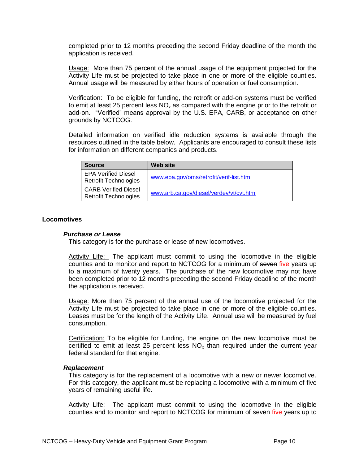completed prior to 12 months preceding the second Friday deadline of the month the application is received.

Usage: More than 75 percent of the annual usage of the equipment projected for the Activity Life must be projected to take place in one or more of the eligible counties. Annual usage will be measured by either hours of operation or fuel consumption.

Verification: To be eligible for funding, the retrofit or add-on systems must be verified to emit at least 25 percent less  $NO<sub>x</sub>$  as compared with the engine prior to the retrofit or add-on. "Verified" means approval by the U.S. EPA, CARB, or acceptance on other grounds by NCTCOG.

Detailed information on verified idle reduction systems is available through the resources outlined in the table below. Applicants are encouraged to consult these lists for information on different companies and products.

| <b>Source</b>                                               | <b>Web site</b>                         |
|-------------------------------------------------------------|-----------------------------------------|
| <b>EPA Verified Diesel</b><br><b>Retrofit Technologies</b>  | www.epa.gov/oms/retrofit/verif-list.htm |
| <b>CARB Verified Diesel</b><br><b>Retrofit Technologies</b> | www.arb.ca.gov/diesel/verdev/vt/cvt.htm |

#### <span id="page-9-0"></span>**Locomotives**

#### *Purchase or Lease*

This category is for the purchase or lease of new locomotives.

Activity Life: The applicant must commit to using the locomotive in the eligible counties and to monitor and report to NCTCOG for a minimum of seven five years up to a maximum of twenty years. The purchase of the new locomotive may not have been completed prior to 12 months preceding the second Friday deadline of the month the application is received.

Usage: More than 75 percent of the annual use of the locomotive projected for the Activity Life must be projected to take place in one or more of the eligible counties. Leases must be for the length of the Activity Life. Annual use will be measured by fuel consumption.

Certification: To be eligible for funding, the engine on the new locomotive must be certified to emit at least 25 percent less  $NO<sub>x</sub>$  than required under the current year federal standard for that engine.

#### *Replacement*

This category is for the replacement of a locomotive with a new or newer locomotive. For this category, the applicant must be replacing a locomotive with a minimum of five years of remaining useful life.

Activity Life: The applicant must commit to using the locomotive in the eligible counties and to monitor and report to NCTCOG for minimum of seven five years up to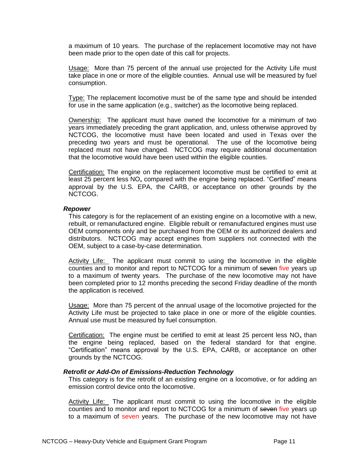a maximum of 10 years. The purchase of the replacement locomotive may not have been made prior to the open date of this call for projects.

Usage: More than 75 percent of the annual use projected for the Activity Life must take place in one or more of the eligible counties. Annual use will be measured by fuel consumption.

Type: The replacement locomotive must be of the same type and should be intended for use in the same application (e.g., switcher) as the locomotive being replaced.

Ownership: The applicant must have owned the locomotive for a minimum of two years immediately preceding the grant application, and, unless otherwise approved by NCTCOG, the locomotive must have been located and used in Texas over the preceding two years and must be operational. The use of the locomotive being replaced must not have changed. NCTCOG may require additional documentation that the locomotive would have been used within the eligible counties.

Certification: The engine on the replacement locomotive must be certified to emit at least 25 percent less  $NO<sub>x</sub>$  compared with the engine being replaced. "Certified" means approval by the U.S. EPA, the CARB, or acceptance on other grounds by the NCTCOG.

#### *Repower*

This category is for the replacement of an existing engine on a locomotive with a new, rebuilt, or remanufactured engine. Eligible rebuilt or remanufactured engines must use OEM components only and be purchased from the OEM or its authorized dealers and distributors. NCTCOG may accept engines from suppliers not connected with the OEM, subject to a case-by-case determination.

Activity Life: The applicant must commit to using the locomotive in the eligible counties and to monitor and report to NCTCOG for a minimum of seven five years up to a maximum of twenty years. The purchase of the new locomotive may not have been completed prior to 12 months preceding the second Friday deadline of the month the application is received.

Usage: More than 75 percent of the annual usage of the locomotive projected for the Activity Life must be projected to take place in one or more of the eligible counties. Annual use must be measured by fuel consumption.

Certification: The engine must be certified to emit at least 25 percent less  $NO<sub>x</sub>$  than the engine being replaced, based on the federal standard for that engine. ―Certification‖ means approval by the U.S. EPA, CARB, or acceptance on other grounds by the NCTCOG.

#### *Retrofit or Add-On of Emissions-Reduction Technology*

This category is for the retrofit of an existing engine on a locomotive, or for adding an emission control device onto the locomotive.

Activity Life: The applicant must commit to using the locomotive in the eligible counties and to monitor and report to NCTCOG for a minimum of seven five years up to a maximum of seven years. The purchase of the new locomotive may not have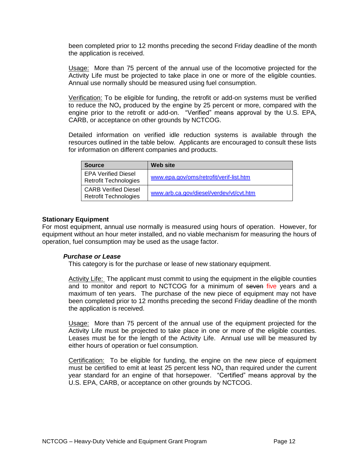been completed prior to 12 months preceding the second Friday deadline of the month the application is received.

Usage: More than 75 percent of the annual use of the locomotive projected for the Activity Life must be projected to take place in one or more of the eligible counties. Annual use normally should be measured using fuel consumption.

Verification: To be eligible for funding, the retrofit or add-on systems must be verified to reduce the  $NO<sub>x</sub>$  produced by the engine by 25 percent or more, compared with the engine prior to the retrofit or add-on. "Verified" means approval by the U.S. EPA, CARB, or acceptance on other grounds by NCTCOG.

Detailed information on verified idle reduction systems is available through the resources outlined in the table below. Applicants are encouraged to consult these lists for information on different companies and products.

| <b>Source</b>                                               | Web site                                |
|-------------------------------------------------------------|-----------------------------------------|
| <b>EPA Verified Diesel</b><br><b>Retrofit Technologies</b>  | www.epa.gov/oms/retrofit/verif-list.htm |
| <b>CARB Verified Diesel</b><br><b>Retrofit Technologies</b> | www.arb.ca.gov/diesel/verdev/vt/cvt.htm |

#### <span id="page-11-0"></span>**Stationary Equipment**

For most equipment, annual use normally is measured using hours of operation. However, for equipment without an hour meter installed, and no viable mechanism for measuring the hours of operation, fuel consumption may be used as the usage factor.

#### *Purchase or Lease*

This category is for the purchase or lease of new stationary equipment.

Activity Life: The applicant must commit to using the equipment in the eligible counties and to monitor and report to NCTCOG for a minimum of seven five years and a maximum of ten years. The purchase of the new piece of equipment may not have been completed prior to 12 months preceding the second Friday deadline of the month the application is received.

Usage: More than 75 percent of the annual use of the equipment projected for the Activity Life must be projected to take place in one or more of the eligible counties. Leases must be for the length of the Activity Life. Annual use will be measured by either hours of operation or fuel consumption.

Certification: To be eligible for funding, the engine on the new piece of equipment must be certified to emit at least 25 percent less  $NO<sub>x</sub>$  than required under the current year standard for an engine of that horsepower. "Certified" means approval by the U.S. EPA, CARB, or acceptance on other grounds by NCTCOG.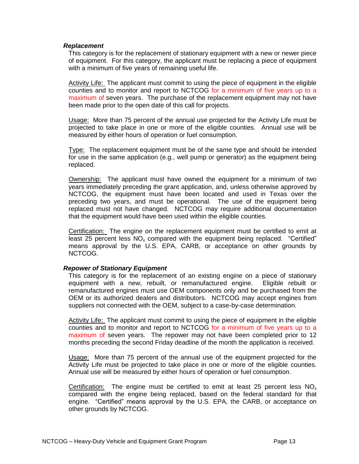#### *Replacement*

This category is for the replacement of stationary equipment with a new or newer piece of equipment. For this category, the applicant must be replacing a piece of equipment with a minimum of five years of remaining useful life.

Activity Life: The applicant must commit to using the piece of equipment in the eligible counties and to monitor and report to NCTCOG for a minimum of five years up to a maximum of seven years. The purchase of the replacement equipment may not have been made prior to the open date of this call for projects.

Usage: More than 75 percent of the annual use projected for the Activity Life must be projected to take place in one or more of the eligible counties. Annual use will be measured by either hours of operation or fuel consumption.

Type: The replacement equipment must be of the same type and should be intended for use in the same application (e.g., well pump or generator) as the equipment being replaced.

Ownership: The applicant must have owned the equipment for a minimum of two years immediately preceding the grant application, and, unless otherwise approved by NCTCOG, the equipment must have been located and used in Texas over the preceding two years, and must be operational. The use of the equipment being replaced must not have changed. NCTCOG may require additional documentation that the equipment would have been used within the eligible counties.

Certification: The engine on the replacement equipment must be certified to emit at least 25 percent less  $NO<sub>x</sub>$  compared with the equipment being replaced. "Certified" means approval by the U.S. EPA, CARB, or acceptance on other grounds by NCTCOG.

#### *Repower of Stationary Equipment*

This category is for the replacement of an existing engine on a piece of stationary equipment with a new, rebuilt, or remanufactured engine. Eligible rebuilt or remanufactured engines must use OEM components only and be purchased from the OEM or its authorized dealers and distributors. NCTCOG may accept engines from suppliers not connected with the OEM, subject to a case-by-case determination.

Activity Life: The applicant must commit to using the piece of equipment in the eligible counties and to monitor and report to NCTCOG for a minimum of five years up to a maximum of seven years. The repower may not have been completed prior to 12 months preceding the second Friday deadline of the month the application is received.

Usage: More than 75 percent of the annual use of the equipment projected for the Activity Life must be projected to take place in one or more of the eligible counties. Annual use will be measured by either hours of operation or fuel consumption.

Certification: The engine must be certified to emit at least 25 percent less  $NO_x$ compared with the engine being replaced, based on the federal standard for that engine. "Certified" means approval by the U.S. EPA, the CARB, or acceptance on other grounds by NCTCOG.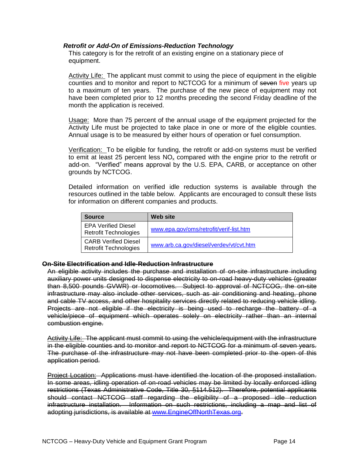### *Retrofit or Add-On of Emissions-Reduction Technology*

This category is for the retrofit of an existing engine on a stationary piece of equipment.

Activity Life: The applicant must commit to using the piece of equipment in the eligible counties and to monitor and report to NCTCOG for a minimum of seven five years up to a maximum of ten years. The purchase of the new piece of equipment may not have been completed prior to 12 months preceding the second Friday deadline of the month the application is received.

Usage: More than 75 percent of the annual usage of the equipment projected for the Activity Life must be projected to take place in one or more of the eligible counties. Annual usage is to be measured by either hours of operation or fuel consumption.

Verification: To be eligible for funding, the retrofit or add-on systems must be verified to emit at least 25 percent less  $NO<sub>x</sub>$  compared with the engine prior to the retrofit or add-on. "Verified" means approval by the U.S. EPA, CARB, or acceptance on other grounds by NCTCOG.

Detailed information on verified idle reduction systems is available through the resources outlined in the table below. Applicants are encouraged to consult these lists for information on different companies and products.

| <b>Source</b>                                               | <b>Web site</b>                         |
|-------------------------------------------------------------|-----------------------------------------|
| <b>EPA Verified Diesel</b><br><b>Retrofit Technologies</b>  | www.epa.gov/oms/retrofit/verif-list.htm |
| <b>CARB Verified Diesel</b><br><b>Retrofit Technologies</b> | www.arb.ca.gov/diesel/verdev/vt/cvt.htm |

#### <span id="page-13-0"></span>**On-Site Electrification and Idle-Reduction Infrastructure**

An eligible activity includes the purchase and installation of on-site infrastructure including auxiliary power units designed to dispense electricity to on-road heavy-duty vehicles (greater than 8,500 pounds GVWR) or locomotives. Subject to approval of NCTCOG, the on-site infrastructure may also include other services, such as air conditioning and heating, phone and cable TV access, and other hospitality services directly related to reducing vehicle idling. Projects are not eligible if the electricity is being used to recharge the battery of a vehicle/piece of equipment which operates solely on electricity rather than an internal combustion engine.

Activity Life: The applicant must commit to using the vehicle/equipment with the infrastructure in the eligible counties and to monitor and report to NCTCOG for a minimum of seven years. The purchase of the infrastructure may not have been completed prior to the open of this application period.

Project Location: Applications must have identified the location of the proposed installation. In some areas, idling operation of on-road vehicles may be limited by locally enforced idling restrictions (Texas Administrative Code, Title 30, §114.512). Therefore, potential applicants should contact NCTCOG staff regarding the eligibility of a proposed idle reduction infrastructure installation. Information on such restrictions, including a map and list of adopting jurisdictions, is available at [www.EngineOffNorthTexas.org.](../Application%20Data/Microsoft/Word/www.EngineOffNorthTexas.org)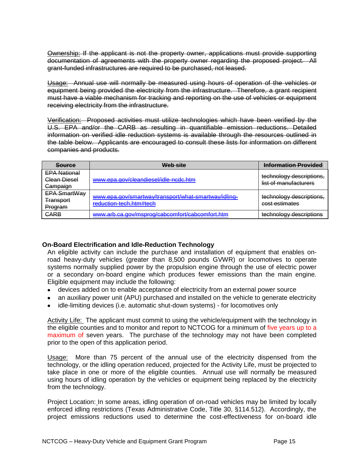Ownership: If the applicant is not the property owner, applications must provide supporting documentation of agreements with the property owner regarding the proposed project. All grant-funded infrastructures are required to be purchased, not leased.

Usage: Annual use will normally be measured using hours of operation of the vehicles or equipment being provided the electricity from the infrastructure. Therefore, a grant recipient must have a viable mechanism for tracking and reporting on the use of vehicles or equipment receiving electricity from the infrastructure.

Verification: Proposed activities must utilize technologies which have been verified by the U.S. EPA and/or the CARB as resulting in quantifiable emission reductions. Detailed information on verified idle reduction systems is available through the resources outlined in the table below. Applicants are encouraged to consult these lists for information on different companies and products.

| <b>Source</b>                                   | Web site                                                                        | <b>Information Provided</b>                       |
|-------------------------------------------------|---------------------------------------------------------------------------------|---------------------------------------------------|
| <b>EPA National</b><br>Clean Diesel<br>Campaign | www.epa.gov/cleandiesel/idle-ncdc.htm                                           | technology descriptions,<br>list of manufacturers |
| EPA SmartWay<br><b>Transport</b><br>Program     | www.epa.gov/smartway/transport/what-smartway/idling-<br>reduction-tech.htm#tech | technology descriptions,<br>cost estimates        |
| <b>CARB</b>                                     | www.arb.ca.gov/msprog/cabcomfort/cabcomfort.htm                                 | technology descriptions                           |

## <span id="page-14-0"></span>**On-Board Electrification and Idle-Reduction Technology**

An eligible activity can include the purchase and installation of equipment that enables onroad heavy-duty vehicles (greater than 8,500 pounds GVWR) or locomotives to operate systems normally supplied power by the propulsion engine through the use of electric power or a secondary on-board engine which produces fewer emissions than the main engine. Eligible equipment may include the following:

- devices added on to enable acceptance of electricity from an external power source
- an auxiliary power unit (APU) purchased and installed on the vehicle to generate electricity
- idle-limiting devices (i.e. automatic shut-down systems) for locomotives only

Activity Life: The applicant must commit to using the vehicle/equipment with the technology in the eligible counties and to monitor and report to NCTCOG for a minimum of five years up to a maximum of seven years. The purchase of the technology may not have been completed prior to the open of this application period.

Usage: More than 75 percent of the annual use of the electricity dispensed from the technology, or the idling operation reduced, projected for the Activity Life, must be projected to take place in one or more of the eligible counties. Annual use will normally be measured using hours of idling operation by the vehicles or equipment being replaced by the electricity from the technology.

Project Location: In some areas, idling operation of on-road vehicles may be limited by locally enforced idling restrictions (Texas Administrative Code, Title 30, §114.512). Accordingly, the project emissions reductions used to determine the cost-effectiveness for on-board idle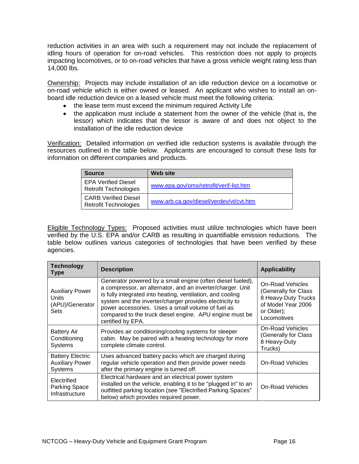reduction activities in an area with such a requirement may not include the replacement of idling hours of operation for on-road vehicles. This restriction does not apply to projects impacting locomotives, or to on-road vehicles that have a gross vehicle weight rating less than 14,000 lbs.

Ownership: Projects may include installation of an idle reduction device on a locomotive or on-road vehicle which is either owned or leased. An applicant who wishes to install an onboard idle reduction device on a leased vehicle must meet the following criteria:

- the lease term must exceed the minimum required Activity Life
- the application must include a statement from the owner of the vehicle (that is, the lessor) which indicates that the lessor is aware of and does not object to the installation of the idle reduction device

Verification: Detailed information on verified idle reduction systems is available through the resources outlined in the table below. Applicants are encouraged to consult these lists for information on different companies and products.

| <b>Source</b>                                               | <b>Web site</b>                         |
|-------------------------------------------------------------|-----------------------------------------|
| <b>EPA Verified Diesel</b><br><b>Retrofit Technologies</b>  | www.epa.gov/oms/retrofit/verif-list.htm |
| <b>CARB Verified Diesel</b><br><b>Retrofit Technologies</b> | www.arb.ca.gov/diesel/verdev/vt/cvt.htm |

Eligible Technology Types: Proposed activities must utilize technologies which have been verified by the U.S. EPA and/or CARB as resulting in quantifiable emission reductions. The table below outlines various categories of technologies that have been verified by these agencies.

| <b>Technology</b><br>Type                                           | <b>Description</b>                                                                                                                                                                                                                                                                                                                                                                     | <b>Applicability</b>                                                                                               |
|---------------------------------------------------------------------|----------------------------------------------------------------------------------------------------------------------------------------------------------------------------------------------------------------------------------------------------------------------------------------------------------------------------------------------------------------------------------------|--------------------------------------------------------------------------------------------------------------------|
| <b>Auxiliary Power</b><br>Units<br>(APU)/Generator<br>Sets          | Generator powered by a small engine (often diesel fueled),<br>a compressor, an alternator, and an inverter/charger. Unit<br>is fully integrated into heating, ventilation, and cooling<br>system and the inverter/charger provides electricity to<br>power accessories. Uses a small volume of fuel as<br>compared to the truck diesel engine. APU engine must be<br>certified by EPA. | On-Road Vehicles<br>(Generally for Class<br>8 Heavy-Duty Trucks<br>of Model Year 2006<br>or Older);<br>Locomotives |
| <b>Battery Air</b><br>Conditioning<br>Systems                       | Provides air conditioning/cooling systems for sleeper<br>cabin. May be paired with a heating technology for more<br>complete climate control.                                                                                                                                                                                                                                          | On-Road Vehicles<br>(Generally for Class<br>8 Heavy-Duty<br>Trucks)                                                |
| <b>Battery Electric</b><br><b>Auxiliary Power</b><br><b>Systems</b> | Uses advanced battery packs which are charged during<br>regular vehicle operation and then provide power needs<br>after the primary engine is turned off.                                                                                                                                                                                                                              | <b>On-Road Vehicles</b>                                                                                            |
| Electrified<br>Parking Space<br>Infrastructure                      | Electrical hardware and an electrical power system<br>installed on the vehicle, enabling it to be "plugged in" to an<br>outfitted parking location (see "Electrified Parking Spaces"<br>below) which provides required power.                                                                                                                                                          | On-Road Vehicles                                                                                                   |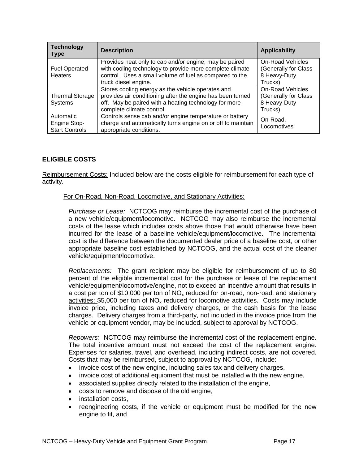| <b>Technology</b><br><b>Type</b>                   | <b>Description</b>                                                                                                                                                                                    | <b>Applicability</b>                                                       |
|----------------------------------------------------|-------------------------------------------------------------------------------------------------------------------------------------------------------------------------------------------------------|----------------------------------------------------------------------------|
| <b>Fuel Operated</b><br>Heaters                    | Provides heat only to cab and/or engine; may be paired<br>with cooling technology to provide more complete climate<br>control. Uses a small volume of fuel as compared to the<br>truck diesel engine. | <b>On-Road Vehicles</b><br>(Generally for Class<br>8 Heavy-Duty<br>Trucks) |
| <b>Thermal Storage</b><br>Systems                  | Stores cooling energy as the vehicle operates and<br>provides air conditioning after the engine has been turned<br>off. May be paired with a heating technology for more<br>complete climate control. | <b>On-Road Vehicles</b><br>(Generally for Class<br>8 Heavy-Duty<br>Trucks) |
| Automatic<br>Engine Stop-<br><b>Start Controls</b> | Controls sense cab and/or engine temperature or battery<br>charge and automatically turns engine on or off to maintain<br>appropriate conditions.                                                     | On-Road,<br>Locomotives                                                    |

## <span id="page-16-0"></span>**ELIGIBLE COSTS**

Reimbursement Costs: Included below are the costs eligible for reimbursement for each type of activity.

#### For On-Road, Non-Road, Locomotive, and Stationary Activities:

*Purchase or Lease:* NCTCOG may reimburse the incremental cost of the purchase of a new vehicle/equipment/locomotive. NCTCOG may also reimburse the incremental costs of the lease which includes costs above those that would otherwise have been incurred for the lease of a baseline vehicle/equipment/locomotive. The incremental cost is the difference between the documented dealer price of a baseline cost, or other appropriate baseline cost established by NCTCOG, and the actual cost of the cleaner vehicle/equipment/locomotive.

*Replacements:* The grant recipient may be eligible for reimbursement of up to 80 percent of the eligible incremental cost for the purchase or lease of the replacement vehicle/equipment/locomotive/engine, not to exceed an incentive amount that results in a cost per ton of \$10,000 per ton of  $NO<sub>x</sub>$  reduced for <u>on-road, non-road, and stationary</u> activities; \$5,000 per ton of  $NO<sub>x</sub>$  reduced for locomotive activities. Costs may include invoice price, including taxes and delivery charges, or the cash basis for the lease charges. Delivery charges from a third-party, not included in the invoice price from the vehicle or equipment vendor, may be included, subject to approval by NCTCOG.

*Repowers:* NCTCOG may reimburse the incremental cost of the replacement engine. The total incentive amount must not exceed the cost of the replacement engine. Expenses for salaries, travel, and overhead, including indirect costs, are not covered. Costs that may be reimbursed, subject to approval by NCTCOG, include:

- invoice cost of the new engine, including sales tax and delivery charges,
- invoice cost of additional equipment that must be installed with the new engine,  $\bullet$
- associated supplies directly related to the installation of the engine,
- costs to remove and dispose of the old engine,
- installation costs,
- reengineering costs, if the vehicle or equipment must be modified for the new engine to fit, and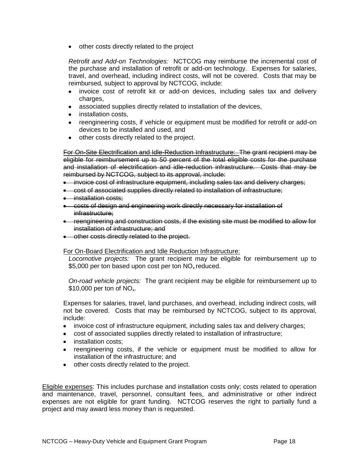• other costs directly related to the project

*Retrofit and Add-on Technologies:* NCTCOG may reimburse the incremental cost of the purchase and installation of retrofit or add-on technology. Expenses for salaries, travel, and overhead, including indirect costs, will not be covered. Costs that may be reimbursed, subject to approval by NCTCOG, include:

- invoice cost of retrofit kit or add-on devices, including sales tax and delivery charges,
- associated supplies directly related to installation of the devices,
- installation costs.
- reengineering costs, if vehicle or equipment must be modified for retrofit or add-on devices to be installed and used, and
- other costs directly related to the project.

For On-Site Electrification and Idle-Reduction Infrastructure: The grant recipient may be eligible for reimbursement up to 50 percent of the total eligible costs for the purchase and installation of electrification and idle-reduction infrastructure. Costs that may be reimbursed by NCTCOG, subject to its approval, include:

- invoice cost of infrastructure equipment, including sales tax and delivery charges;
- cost of associated supplies directly related to installation of infrastructure;
- installation costs:
- costs of design and engineering work directly necessary for installation of infrastructure;
- reengineering and construction costs, if the existing site must be modified to allow for installation of infrastructure; and
- **•** other costs directly related to the project.

#### For On-Board Electrification and Idle Reduction Infrastructure:

*Locomotive projects:* The grant recipient may be eligible for reimbursement up to \$5,000 per ton based upon cost per ton  $NO<sub>x</sub>$  reduced.

*On-road vehicle projects:* The grant recipient may be eligible for reimbursement up to  $$10,000$  per ton of NO<sub>x</sub>.

Expenses for salaries, travel, land purchases, and overhead, including indirect costs, will not be covered. Costs that may be reimbursed by NCTCOG, subject to its approval, include:

- invoice cost of infrastructure equipment, including sales tax and delivery charges;
- cost of associated supplies directly related to installation of infrastructure;
- installation costs;
- reengineering costs, if the vehicle or equipment must be modified to allow for installation of the infrastructure; and
- other costs directly related to the project.

Eligible expenses: This includes purchase and installation costs only; costs related to operation and maintenance, travel, personnel, consultant fees, and administrative or other indirect expenses are not eligible for grant funding. NCTCOG reserves the right to partially fund a project and may award less money than is requested.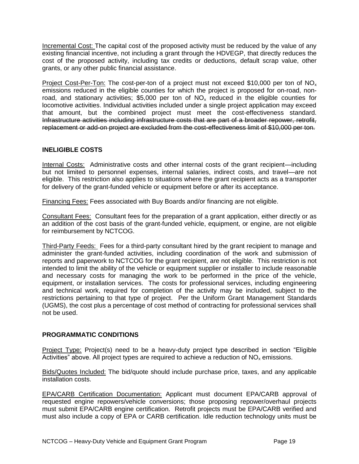Incremental Cost: The capital cost of the proposed activity must be reduced by the value of any existing financial incentive, not including a grant through the HDVEGP, that directly reduces the cost of the proposed activity, including tax credits or deductions, default scrap value, other grants, or any other public financial assistance.

Project Cost-Per-Ton: The cost-per-ton of a project must not exceed \$10,000 per ton of  $NO<sub>x</sub>$ emissions reduced in the eligible counties for which the project is proposed for on-road, nonroad, and stationary activities; \$5,000 per ton of  $NO<sub>x</sub>$  reduced in the eligible counties for locomotive activities. Individual activities included under a single project application may exceed that amount, but the combined project must meet the cost-effectiveness standard. Infrastructure activities including infrastructure costs that are part of a broader repower, retrofit, replacement or add-on project are excluded from the cost-effectiveness limit of \$10,000 per ton.

## <span id="page-18-0"></span>**INELIGIBLE COSTS**

Internal Costs: Administrative costs and other internal costs of the grant recipient—including but not limited to personnel expenses, internal salaries, indirect costs, and travel—are not eligible. This restriction also applies to situations where the grant recipient acts as a transporter for delivery of the grant-funded vehicle or equipment before or after its acceptance.

Financing Fees: Fees associated with Buy Boards and/or financing are not eligible.

Consultant Fees: Consultant fees for the preparation of a grant application, either directly or as an addition of the cost basis of the grant-funded vehicle, equipment, or engine, are not eligible for reimbursement by NCTCOG.

Third-Party Feeds: Fees for a third-party consultant hired by the grant recipient to manage and administer the grant-funded activities, including coordination of the work and submission of reports and paperwork to NCTCOG for the grant recipient, are not eligible. This restriction is not intended to limit the ability of the vehicle or equipment supplier or installer to include reasonable and necessary costs for managing the work to be performed in the price of the vehicle, equipment, or installation services. The costs for professional services, including engineering and technical work, required for completion of the activity may be included, subject to the restrictions pertaining to that type of project. Per the Uniform Grant Management Standards (UGMS), the cost plus a percentage of cost method of contracting for professional services shall not be used.

## <span id="page-18-1"></span>**PROGRAMMATIC CONDITIONS**

Project Type: Project(s) need to be a heavy-duty project type described in section "Eligible Activities" above. All project types are required to achieve a reduction of  $NO<sub>x</sub>$  emissions.

Bids/Quotes Included: The bid/quote should include purchase price, taxes, and any applicable installation costs.

EPA/CARB Certification Documentation: Applicant must document EPA/CARB approval of requested engine repowers/vehicle conversions; those proposing repower/overhaul projects must submit EPA/CARB engine certification. Retrofit projects must be EPA/CARB verified and must also include a copy of EPA or CARB certification. Idle reduction technology units must be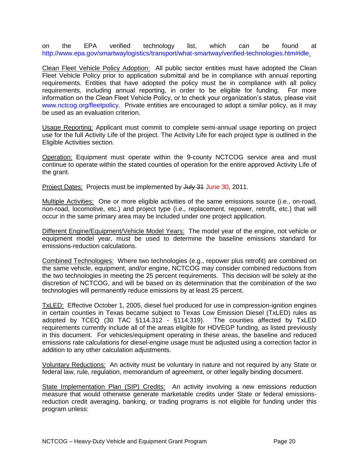on the EPA verified technology list, which can be found at [http://www.epa.gov/smartwaylogistics/transport/what-smartway/verified-technologies.htm#idle.](http://www.epa.gov/smartwaylogistics/transport/what-smartway/verified-technologies.htm#idle)

Clean Fleet Vehicle Policy Adoption: All public sector entities must have adopted the Clean Fleet Vehicle Policy prior to application submittal and be in compliance with annual reporting requirements. Entities that have adopted the policy must be in compliance with all policy requirements, including annual reporting, in order to be eligible for funding. For more information on the Clean Fleet Vehicle Policy, or to check your organization's status, please visit [www.nctcog.org/fleetpolicy.](http://www.nctcog.org/fleetpolicy) Private entities are encouraged to adopt a similar policy, as it may be used as an evaluation criterion.

Usage Reporting: Applicant must commit to complete semi-annual usage reporting on project use for the full Activity Life of the project. The Activity Life for each project type is outlined in the Eligible Activities section.

Operation: Equipment must operate within the 9-county NCTCOG service area and must continue to operate within the stated counties of operation for the entire approved Activity Life of the grant.

Project Dates: Projects must be implemented by July 31 June 30, 2011.

Multiple Activities: One or more eligible activities of the same emissions source (i.e., on-road, non-road, locomotive, etc.) and project type (i.e., replacement, repower, retrofit, etc.) that will occur in the same primary area may be included under one project application.

Different Engine/Equipment/Vehicle Model Years: The model year of the engine, not vehicle or equipment model year, must be used to determine the baseline emissions standard for emissions-reduction calculations.

Combined Technologies: Where two technologies (e.g., repower plus retrofit) are combined on the same vehicle, equipment, and/or engine, NCTCOG may consider combined reductions from the two technologies in meeting the 25 percent requirements. This decision will be solely at the discretion of NCTCOG, and will be based on its determination that the combination of the two technologies will permanently reduce emissions by at least 25 percent.

TxLED: Effective October 1, 2005, diesel fuel produced for use in compression-ignition engines in certain counties in Texas became subject to Texas Low Emission Diesel (TxLED) rules as adopted by TCEQ (30 TAC §114.312 - §114.319). The counties affected by TxLED requirements currently include all of the areas eligible for HDVEGP funding, as listed previously in this document. For vehicles/equipment operating in these areas, the baseline and reduced emissions rate calculations for diesel-engine usage must be adjusted using a correction factor in addition to any other calculation adjustments.

Voluntary Reductions: An activity must be voluntary in nature and not required by any State or federal law, rule, regulation, memorandum of agreement, or other legally binding document.

State Implementation Plan (SIP) Credits: An activity involving a new emissions reduction measure that would otherwise generate marketable credits under State or federal emissionsreduction credit averaging, banking, or trading programs is not eligible for funding under this program unless: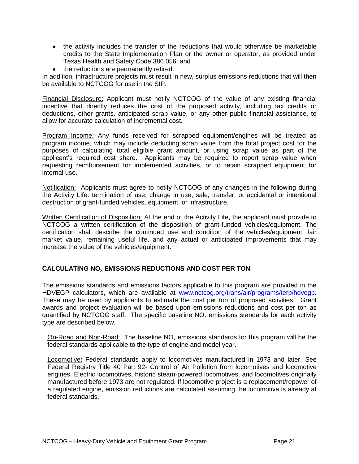- the activity includes the transfer of the reductions that would otherwise be marketable credits to the State Implementation Plan or the owner or operator, as provided under Texas Health and Safety Code 386.056; and
- the reductions are permanently retired.

In addition, infrastructure projects must result in new, surplus emissions reductions that will then be available to NCTCOG for use in the SIP.

Financial Disclosure: Applicant must notify NCTCOG of the value of any existing financial incentive that directly reduces the cost of the proposed activity, including tax credits or deductions, other grants, anticipated scrap value, or any other public financial assistance, to allow for accurate calculation of incremental cost.

Program Income: Any funds received for scrapped equipment/engines will be treated as program income, which may include deducting scrap value from the total project cost for the purposes of calculating total eligible grant amount, or using scrap value as part of the applicant's required cost share. Applicants may be required to report scrap value when requesting reimbursement for implemented activities, or to retain scrapped equipment for internal use.

Notification: Applicants must agree to notify NCTCOG of any changes in the following during the Activity Life: termination of use, change in use, sale, transfer, or accidental or intentional destruction of grant-funded vehicles, equipment, or infrastructure.

Written Certification of Disposition: At the end of the Activity Life, the applicant must provide to NCTCOG a written certification of the disposition of grant-funded vehicles/equipment. The certification shall describe the continued use and condition of the vehicles/equipment, fair market value, remaining useful life, and any actual or anticipated improvements that may increase the value of the vehicles/equipment.

## <span id="page-20-0"></span>**CALCULATING NO<sup>x</sup> EMISSIONS REDUCTIONS AND COST PER TON**

The emissions standards and emissions factors applicable to this program are provided in the HDVEGP calculators, which are available at [www.nctcog.org/trans/air/programs/terp/hdvegp.](http://www.nctcog.org/trans/air/programs/terp/hdvegp) These may be used by applicants to estimate the cost per ton of proposed activities. Grant awards and project evaluation will be based upon emissions reductions and cost per ton as quantified by NCTCOG staff. The specific baseline  $NO<sub>x</sub>$  emissions standards for each activity type are described below.

On-Road and Non-Road: The baseline  $NO<sub>x</sub>$  emissions standards for this program will be the federal standards applicable to the type of engine and model year.

Locomotive: Federal standards apply to locomotives manufactured in 1973 and later. See Federal Registry Title 40 Part 92- Control of Air Pollution from locomotives and locomotive engines. Electric locomotives, historic steam-powered locomotives, and locomotives originally manufactured before 1973 are not regulated. If locomotive project is a replacement/repower of a regulated engine, emission reductions are calculated assuming the locomotive is already at federal standards.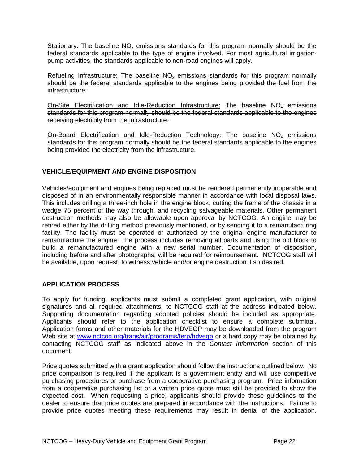Stationary: The baseline  $NO<sub>x</sub>$  emissions standards for this program normally should be the federal standards applicable to the type of engine involved. For most agricultural irrigationpump activities, the standards applicable to non-road engines will apply.

Refueling Infrastructure: The baseline NO<sub>x</sub> emissions standards for this program normally should be the federal standards applicable to the engines being provided the fuel from the infrastructure.

On-Site Electrification and Idle-Reduction Infrastructure: The baseline NO<sub>x</sub> emissions standards for this program normally should be the federal standards applicable to the engines receiving electricity from the infrastructure.

On-Board Electrification and Idle-Reduction Technology: The baseline  $NO<sub>x</sub>$  emissions standards for this program normally should be the federal standards applicable to the engines being provided the electricity from the infrastructure.

## <span id="page-21-0"></span>**VEHICLE/EQUIPMENT AND ENGINE DISPOSITION**

Vehicles/equipment and engines being replaced must be rendered permanently inoperable and disposed of in an environmentally responsible manner in accordance with local disposal laws. This includes drilling a three-inch hole in the engine block, cutting the frame of the chassis in a wedge 75 percent of the way through, and recycling salvageable materials. Other permanent destruction methods may also be allowable upon approval by NCTCOG. An engine may be retired either by the drilling method previously mentioned, or by sending it to a remanufacturing facility. The facility must be operated or authorized by the original engine manufacturer to remanufacture the engine. The process includes removing all parts and using the old block to build a remanufactured engine with a new serial number. Documentation of disposition, including before and after photographs, will be required for reimbursement. NCTCOG staff will be available, upon request, to witness vehicle and/or engine destruction if so desired.

## <span id="page-21-1"></span>**APPLICATION PROCESS**

To apply for funding, applicants must submit a completed grant application, with original signatures and all required attachments, to NCTCOG staff at the address indicated below. Supporting documentation regarding adopted policies should be included as appropriate. Applicants should refer to the application checklist to ensure a complete submittal. Application forms and other materials for the HDVEGP may be downloaded from the program Web site at [www.nctcog.org/trans/air/programs/terp/hdvegp](http://www.nctcog.org/trans/air/programs/terp/hdvegp) or a hard copy may be obtained by contacting NCTCOG staff as indicated above in the *Contact Information* section of this document.

Price quotes submitted with a grant application should follow the instructions outlined below. No price comparison is required if the applicant is a government entity and will use competitive purchasing procedures or purchase from a cooperative purchasing program. Price information from a cooperative purchasing list or a written price quote must still be provided to show the expected cost. When requesting a price, applicants should provide these guidelines to the dealer to ensure that price quotes are prepared in accordance with the instructions. Failure to provide price quotes meeting these requirements may result in denial of the application.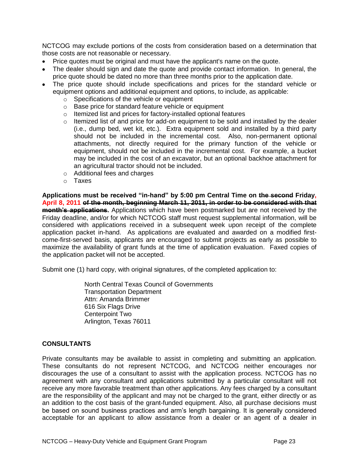NCTCOG may exclude portions of the costs from consideration based on a determination that those costs are not reasonable or necessary.

- Price quotes must be original and must have the applicant's name on the quote.
- The dealer should sign and date the quote and provide contact information. In general, the price quote should be dated no more than three months prior to the application date.
- The price quote should include specifications and prices for the standard vehicle or equipment options and additional equipment and options, to include, as applicable:
	- o Specifications of the vehicle or equipment
	- o Base price for standard feature vehicle or equipment
	- o Itemized list and prices for factory-installed optional features
	- $\circ$  Itemized list of and price for add-on equipment to be sold and installed by the dealer (i.e., dump bed, wet kit, etc.). Extra equipment sold and installed by a third party should not be included in the incremental cost. Also, non-permanent optional attachments, not directly required for the primary function of the vehicle or equipment, should not be included in the incremental cost. For example, a bucket may be included in the cost of an excavator, but an optional backhoe attachment for an agricultural tractor should not be included.
	- o Additional fees and charges
	- o Taxes

**[Applications](http://www.nctcog.org/trans/clean/schoolbus/index.asp?) must be received "in-hand" by 5:00 pm Central Time on the second Friday, April 8, 2011 of the month, beginning March 11, 2011, in order to be considered with that month's applications.** Applications which have been postmarked but are not received by the Friday deadline, and/or for which NCTCOG staff must request supplemental information, will be considered with applications received in a subsequent week upon receipt of the complete application packet in-hand. As applications are evaluated and awarded on a modified firstcome-first-served basis, applicants are encouraged to submit projects as early as possible to maximize the availability of grant funds at the time of application evaluation. Faxed copies of the application packet will not be accepted.

Submit one (1) hard copy, with original signatures, of the completed application to:

North Central Texas Council of Governments Transportation Department Attn: Amanda Brimmer 616 Six Flags Drive Centerpoint Two Arlington, Texas 76011

#### **CONSULTANTS**

Private consultants may be available to assist in completing and submitting an application. These consultants do not represent NCTCOG, and NCTCOG neither encourages nor discourages the use of a consultant to assist with the application process. NCTCOG has no agreement with any consultant and applications submitted by a particular consultant will not receive any more favorable treatment than other applications. Any fees charged by a consultant are the responsibility of the applicant and may not be charged to the grant, either directly or as an addition to the cost basis of the grant-funded equipment. Also, all purchase decisions must be based on sound business practices and arm's length bargaining. It is generally considered acceptable for an applicant to allow assistance from a dealer or an agent of a dealer in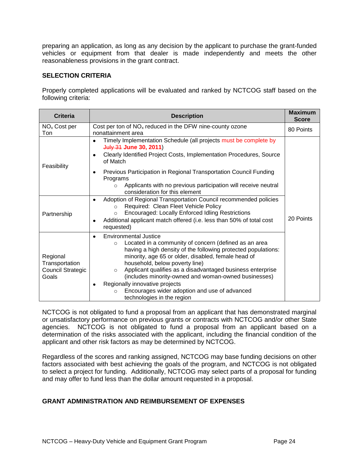preparing an application, as long as any decision by the applicant to purchase the grant-funded vehicles or equipment from that dealer is made independently and meets the other reasonableness provisions in the grant contract.

## <span id="page-23-0"></span>**SELECTION CRITERIA**

Properly completed applications will be evaluated and ranked by NCTCOG staff based on the following criteria:

| <b>Criteria</b>                                          | <b>Description</b>                                                                                                                                                                                                                                                                                                                                                                                                                                                                                                    | <b>Maximum</b><br><b>Score</b> |
|----------------------------------------------------------|-----------------------------------------------------------------------------------------------------------------------------------------------------------------------------------------------------------------------------------------------------------------------------------------------------------------------------------------------------------------------------------------------------------------------------------------------------------------------------------------------------------------------|--------------------------------|
| NO <sub>x</sub> Cost per<br>Ton                          | Cost per ton of $NOx$ reduced in the DFW nine-county ozone<br>80 Points<br>nonattainment area                                                                                                                                                                                                                                                                                                                                                                                                                         |                                |
| Feasibility                                              | Timely Implementation Schedule (all projects must be complete by<br>July 31 June 30, 2011)<br>Clearly Identified Project Costs, Implementation Procedures, Source<br>of Match                                                                                                                                                                                                                                                                                                                                         |                                |
|                                                          | Previous Participation in Regional Transportation Council Funding<br>Programs<br>Applicants with no previous participation will receive neutral<br>$\circ$<br>consideration for this element                                                                                                                                                                                                                                                                                                                          |                                |
| Partnership                                              | Adoption of Regional Transportation Council recommended policies<br>Required: Clean Fleet Vehicle Policy<br>$\circ$<br><b>Encouraged: Locally Enforced Idling Restrictions</b><br>$\circ$<br>Additional applicant match offered (i.e. less than 50% of total cost<br>requested)                                                                                                                                                                                                                                       | 20 Points                      |
| Regional<br>Transportation<br>Council Strategic<br>Goals | Environmental Justice<br>٠<br>Located in a community of concern (defined as an area<br>$\circ$<br>having a high density of the following protected populations:<br>minority, age 65 or older, disabled, female head of<br>household, below poverty line)<br>Applicant qualifies as a disadvantaged business enterprise<br>$\circ$<br>(includes minority-owned and woman-owned businesses)<br>Regionally innovative projects<br>Encourages wider adoption and use of advanced<br>$\circ$<br>technologies in the region |                                |

NCTCOG is not obligated to fund a proposal from an applicant that has demonstrated marginal or unsatisfactory performance on previous grants or contracts with NCTCOG and/or other State agencies. NCTCOG is not obligated to fund a proposal from an applicant based on a determination of the risks associated with the applicant, including the financial condition of the applicant and other risk factors as may be determined by NCTCOG.

Regardless of the scores and ranking assigned, NCTCOG may base funding decisions on other factors associated with best achieving the goals of the program, and NCTCOG is not obligated to select a project for funding. Additionally, NCTCOG may select parts of a proposal for funding and may offer to fund less than the dollar amount requested in a proposal.

## <span id="page-23-1"></span>**GRANT ADMINISTRATION AND REIMBURSEMENT OF EXPENSES**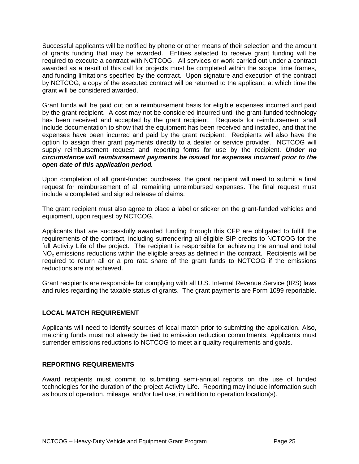Successful applicants will be notified by phone or other means of their selection and the amount of grants funding that may be awarded. Entities selected to receive grant funding will be required to execute a contract with NCTCOG. All services or work carried out under a contract awarded as a result of this call for projects must be completed within the scope, time frames, and funding limitations specified by the contract. Upon signature and execution of the contract by NCTCOG, a copy of the executed contract will be returned to the applicant, at which time the grant will be considered awarded.

Grant funds will be paid out on a reimbursement basis for eligible expenses incurred and paid by the grant recipient. A cost may not be considered incurred until the grant-funded technology has been received and accepted by the grant recipient. Requests for reimbursement shall include documentation to show that the equipment has been received and installed, and that the expenses have been incurred and paid by the grant recipient. Recipients will also have the option to assign their grant payments directly to a dealer or service provider. NCTCOG will supply reimbursement request and reporting forms for use by the recipient. *Under no circumstance will reimbursement payments be issued for expenses incurred prior to the open date of this application period.*

Upon completion of all grant-funded purchases, the grant recipient will need to submit a final request for reimbursement of all remaining unreimbursed expenses. The final request must include a completed and signed release of claims.

The grant recipient must also agree to place a label or sticker on the grant-funded vehicles and equipment, upon request by NCTCOG.

Applicants that are successfully awarded funding through this CFP are obligated to fulfill the requirements of the contract, including surrendering all eligible SIP credits to NCTCOG for the full Activity Life of the project. The recipient is responsible for achieving the annual and total  $NO<sub>x</sub>$  emissions reductions within the eligible areas as defined in the contract. Recipients will be required to return all or a pro rata share of the grant funds to NCTCOG if the emissions reductions are not achieved.

Grant recipients are responsible for complying with all U.S. Internal Revenue Service (IRS) laws and rules regarding the taxable status of grants. The grant payments are Form 1099 reportable.

## **LOCAL MATCH REQUIREMENT**

Applicants will need to identify sources of local match prior to submitting the application. Also, matching funds must not already be tied to emission reduction commitments. Applicants must surrender emissions reductions to NCTCOG to meet air quality requirements and goals.

## <span id="page-24-0"></span>**REPORTING REQUIREMENTS**

Award recipients must commit to submitting semi-annual reports on the use of funded technologies for the duration of the project Activity Life. Reporting may include information such as hours of operation, mileage, and/or fuel use, in addition to operation location(s).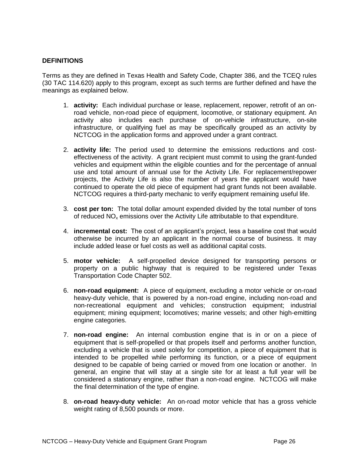## <span id="page-25-0"></span>**DEFINITIONS**

Terms as they are defined in Texas Health and Safety Code, Chapter 386, and the TCEQ rules (30 TAC 114.620) apply to this program, except as such terms are further defined and have the meanings as explained below.

- 1. **activity:** Each individual purchase or lease, replacement, repower, retrofit of an onroad vehicle, non-road piece of equipment, locomotive, or stationary equipment. An activity also includes each purchase of on-vehicle infrastructure, on-site infrastructure, or qualifying fuel as may be specifically grouped as an activity by NCTCOG in the application forms and approved under a grant contract.
- 2. **activity life:** The period used to determine the emissions reductions and costeffectiveness of the activity. A grant recipient must commit to using the grant-funded vehicles and equipment within the eligible counties and for the percentage of annual use and total amount of annual use for the Activity Life. For replacement/repower projects, the Activity Life is also the number of years the applicant would have continued to operate the old piece of equipment had grant funds not been available. NCTCOG requires a third-party mechanic to verify equipment remaining useful life.
- 3. **cost per ton:** The total dollar amount expended divided by the total number of tons of reduced  $NO<sub>x</sub>$  emissions over the Activity Life attributable to that expenditure.
- 4. **incremental cost:** The cost of an applicant's project, less a baseline cost that would otherwise be incurred by an applicant in the normal course of business. It may include added lease or fuel costs as well as additional capital costs.
- 5. **motor vehicle:** A self-propelled device designed for transporting persons or property on a public highway that is required to be registered under Texas Transportation Code Chapter 502.
- 6. **non-road equipment:** A piece of equipment, excluding a motor vehicle or on-road heavy-duty vehicle, that is powered by a non-road engine, including non-road and non-recreational equipment and vehicles; construction equipment; industrial equipment; mining equipment; locomotives; marine vessels; and other high-emitting engine categories.
- 7. **non-road engine:** An internal combustion engine that is in or on a piece of equipment that is self-propelled or that propels itself and performs another function, excluding a vehicle that is used solely for competition, a piece of equipment that is intended to be propelled while performing its function, or a piece of equipment designed to be capable of being carried or moved from one location or another. In general, an engine that will stay at a single site for at least a full year will be considered a stationary engine, rather than a non-road engine. NCTCOG will make the final determination of the type of engine.
- 8. **on-road heavy-duty vehicle:** An on-road motor vehicle that has a gross vehicle weight rating of 8,500 pounds or more.